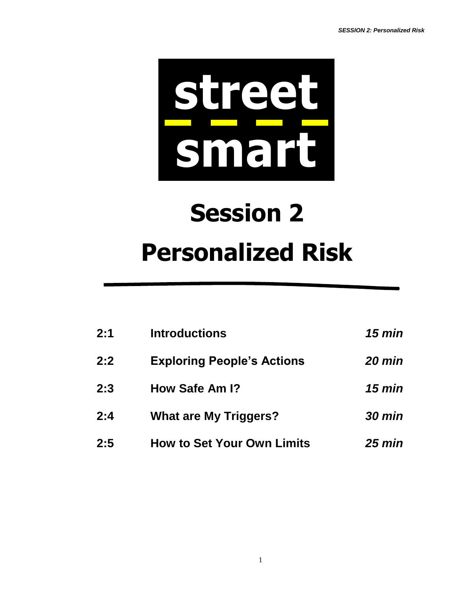

# **Session 2 Personalized Risk**

| 2:1 | <b>Introductions</b>              | $15 \text{ min}$ |
|-----|-----------------------------------|------------------|
| 2:2 | <b>Exploring People's Actions</b> | 20 min           |
| 2:3 | How Safe Am I?                    | $15 \text{ min}$ |
| 2:4 | <b>What are My Triggers?</b>      | <b>30 min</b>    |
| 2:5 | <b>How to Set Your Own Limits</b> | $25 \text{ min}$ |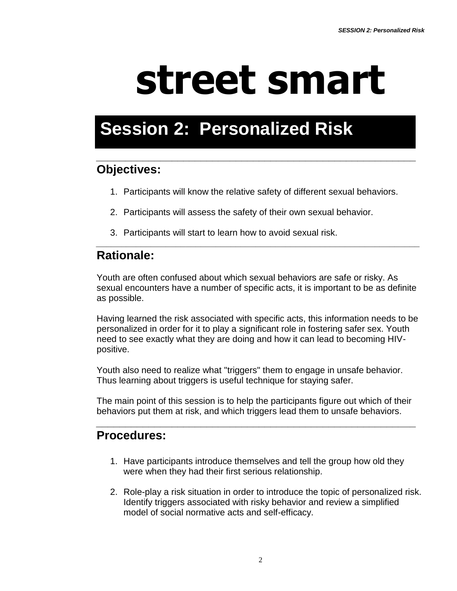# **street smart**

# **Session 2: Personalized Risk**

### *\_\_\_\_\_\_\_\_\_\_\_\_\_\_\_\_\_\_\_\_\_\_\_\_\_\_\_\_\_\_\_\_\_\_\_\_\_\_\_\_\_\_\_\_\_\_\_\_\_\_\_\_\_\_\_* **Objectives:**

- 1. Participants will know the relative safety of different sexual behaviors.
- 2. Participants will assess the safety of their own sexual behavior.
- 3. Participants will start to learn how to avoid sexual risk.

# **Rationale:**

Youth are often confused about which sexual behaviors are safe or risky. As sexual encounters have a number of specific acts, it is important to be as definite as possible.

*\_\_\_\_\_\_\_\_\_\_\_\_\_\_\_\_\_\_\_\_\_\_\_\_\_\_\_\_\_\_\_\_\_\_\_\_\_\_\_\_\_\_\_\_\_\_\_\_\_\_\_\_\_\_\_\_\_\_\_\_\_\_\_\_\_*

Having learned the risk associated with specific acts, this information needs to be personalized in order for it to play a significant role in fostering safer sex. Youth need to see exactly what they are doing and how it can lead to becoming HIVpositive.

Youth also need to realize what "triggers" them to engage in unsafe behavior. Thus learning about triggers is useful technique for staying safer.

The main point of this session is to help the participants figure out which of their behaviors put them at risk, and which triggers lead them to unsafe behaviors.

*\_\_\_\_\_\_\_\_\_\_\_\_\_\_\_\_\_\_\_\_\_\_\_\_\_\_\_\_\_\_\_\_\_\_\_\_\_\_\_\_\_\_\_\_\_\_\_\_\_\_\_\_\_\_\_*

# **Procedures:**

- 1. Have participants introduce themselves and tell the group how old they were when they had their first serious relationship.
- 2. Role-play a risk situation in order to introduce the topic of personalized risk. Identify triggers associated with risky behavior and review a simplified model of social normative acts and self-efficacy.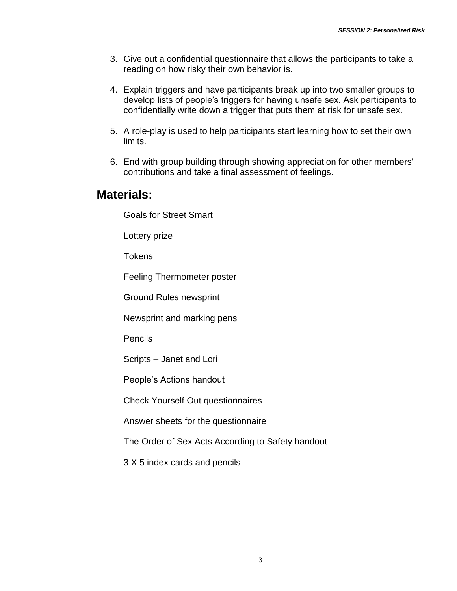- 3. Give out a confidential questionnaire that allows the participants to take a reading on how risky their own behavior is.
- 4. Explain triggers and have participants break up into two smaller groups to develop lists of people's triggers for having unsafe sex. Ask participants to confidentially write down a trigger that puts them at risk for unsafe sex.
- 5. A role-play is used to help participants start learning how to set their own limits.
- 6. End with group building through showing appreciation for other members' contributions and take a final assessment of feelings.

*\_\_\_\_\_\_\_\_\_\_\_\_\_\_\_\_\_\_\_\_\_\_\_\_\_\_\_\_\_\_\_\_\_\_\_\_\_\_\_\_\_\_\_\_\_\_\_\_\_\_\_\_\_\_\_\_\_\_\_\_\_\_\_\_\_*

### **Materials:**

Goals for Street Smart

Lottery prize

**Tokens** 

Feeling Thermometer poster

Ground Rules newsprint

Newsprint and marking pens

**Pencils** 

Scripts – Janet and Lori

People's Actions handout

Check Yourself Out questionnaires

Answer sheets for the questionnaire

The Order of Sex Acts According to Safety handout

3 X 5 index cards and pencils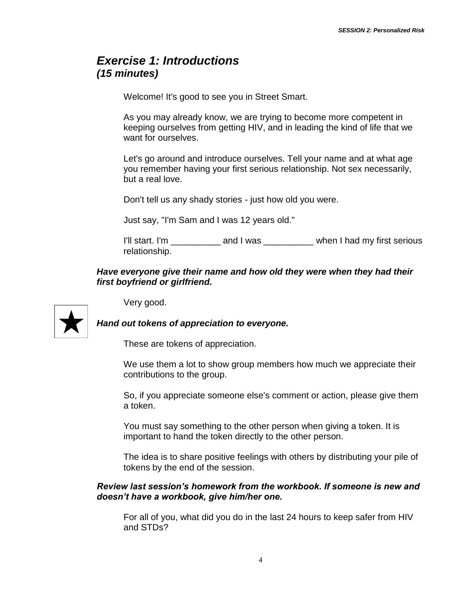## *Exercise 1: Introductions (15 minutes)*

Welcome! It's good to see you in Street Smart.

As you may already know, we are trying to become more competent in keeping ourselves from getting HIV, and in leading the kind of life that we want for ourselves.

Let's go around and introduce ourselves. Tell your name and at what age you remember having your first serious relationship. Not sex necessarily, but a real love.

Don't tell us any shady stories - just how old you were.

Just say, "I'm Sam and I was 12 years old."

I'll start. I'm \_\_\_\_\_\_\_\_\_\_\_ and I was \_\_\_\_\_\_\_\_\_ when I had my first serious relationship.

#### *Have everyone give their name and how old they were when they had their first boyfriend or girlfriend.*

Very good.



*Hand out tokens of appreciation to everyone.*

These are tokens of appreciation.

We use them a lot to show group members how much we appreciate their contributions to the group.

So, if you appreciate someone else's comment or action, please give them a token.

You must say something to the other person when giving a token. It is important to hand the token directly to the other person.

The idea is to share positive feelings with others by distributing your pile of tokens by the end of the session.

#### *Review last session's homework from the workbook. If someone is new and doesn't have a workbook, give him/her one.*

For all of you, what did you do in the last 24 hours to keep safer from HIV and STDs?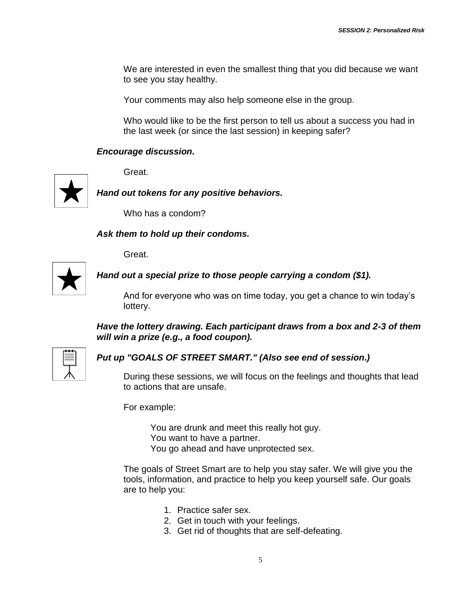We are interested in even the smallest thing that you did because we want to see you stay healthy.

Your comments may also help someone else in the group.

Who would like to be the first person to tell us about a success you had in the last week (or since the last session) in keeping safer?

#### *Encourage discussion.*

Great.



*Hand out tokens for any positive behaviors.*

Who has a condom?

#### *Ask them to hold up their condoms.*

Great.



*Hand out a special prize to those people carrying a condom (\$1).*

And for everyone who was on time today, you get a chance to win today's lottery.

*Have the lottery drawing. Each participant draws from a box and 2-3 of them will win a prize (e.g., a food coupon).*

#### *Put up "GOALS OF STREET SMART." (Also see end of session.)*

During these sessions, we will focus on the feelings and thoughts that lead to actions that are unsafe.

For example:

You are drunk and meet this really hot guy. You want to have a partner. You go ahead and have unprotected sex.

The goals of Street Smart are to help you stay safer. We will give you the tools, information, and practice to help you keep yourself safe. Our goals are to help you:

- 1. Practice safer sex.
- 2. Get in touch with your feelings.
- 3. Get rid of thoughts that are self-defeating.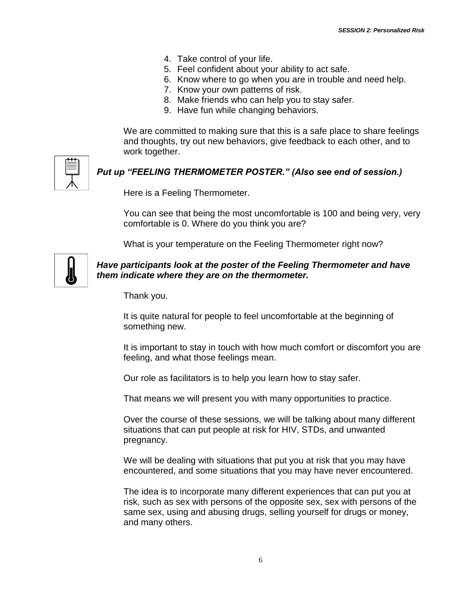- 4. Take control of your life.
- 5. Feel confident about your ability to act safe.
- 6. Know where to go when you are in trouble and need help.
- 7. Know your own patterns of risk.
- 8. Make friends who can help you to stay safer.
- 9. Have fun while changing behaviors.

We are committed to making sure that this is a safe place to share feelings and thoughts, try out new behaviors, give feedback to each other, and to work together.

#### *Put up "FEELING THERMOMETER POSTER." (Also see end of session.)*

Here is a Feeling Thermometer.

You can see that being the most uncomfortable is 100 and being very, very comfortable is 0. Where do you think you are?

What is your temperature on the Feeling Thermometer right now?



#### *Have participants look at the poster of the Feeling Thermometer and have them indicate where they are on the thermometer.*

Thank you.

It is quite natural for people to feel uncomfortable at the beginning of something new.

It is important to stay in touch with how much comfort or discomfort you are feeling, and what those feelings mean.

Our role as facilitators is to help you learn how to stay safer.

That means we will present you with many opportunities to practice.

Over the course of these sessions, we will be talking about many different situations that can put people at risk for HIV, STDs, and unwanted pregnancy.

We will be dealing with situations that put you at risk that you may have encountered, and some situations that you may have never encountered.

The idea is to incorporate many different experiences that can put you at risk, such as sex with persons of the opposite sex, sex with persons of the same sex, using and abusing drugs, selling yourself for drugs or money, and many others.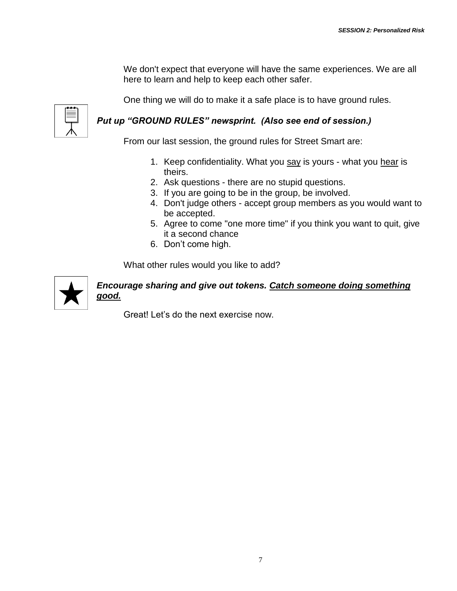We don't expect that everyone will have the same experiences. We are all here to learn and help to keep each other safer.

One thing we will do to make it a safe place is to have ground rules.

#### *Put up "GROUND RULES" newsprint. (Also see end of session.)*

From our last session, the ground rules for Street Smart are:

- 1. Keep confidentiality. What you say is yours what you hear is theirs.
- 2. Ask questions there are no stupid questions.
- 3. If you are going to be in the group, be involved.
- 4. Don't judge others accept group members as you would want to be accepted.
- 5. Agree to come "one more time" if you think you want to quit, give it a second chance
- 6. Don't come high.

What other rules would you like to add?



#### *Encourage sharing and give out tokens. Catch someone doing something good.*

Great! Let's do the next exercise now.

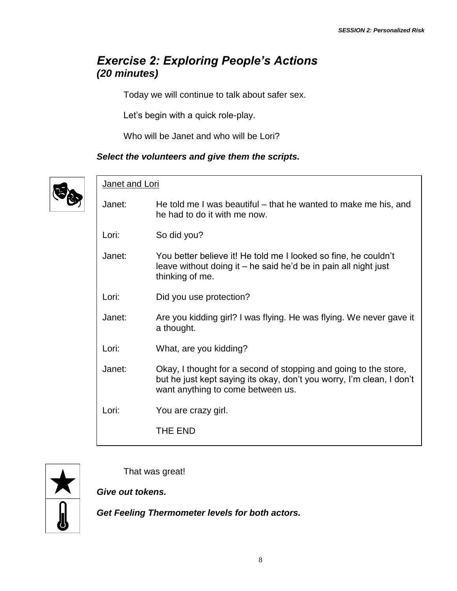# *Exercise 2: Exploring People's Actions (20 minutes)*

Today we will continue to talk about safer sex.

Let's begin with a quick role-play.

Who will be Janet and who will be Lori?

#### *Select the volunteers and give them the scripts.*



|        | Janet and Lori                                                                                                                                                                 |  |  |
|--------|--------------------------------------------------------------------------------------------------------------------------------------------------------------------------------|--|--|
| Janet: | He told me I was beautiful – that he wanted to make me his, and<br>he had to do it with me now.                                                                                |  |  |
| Lori:  | So did you?                                                                                                                                                                    |  |  |
| Janet: | You better believe it! He told me I looked so fine, he couldn't<br>leave without doing it – he said he'd be in pain all night just<br>thinking of me.                          |  |  |
| Lori:  | Did you use protection?                                                                                                                                                        |  |  |
| Janet: | Are you kidding girl? I was flying. He was flying. We never gave it<br>a thought.                                                                                              |  |  |
| Lori:  | What, are you kidding?                                                                                                                                                         |  |  |
| Janet: | Okay, I thought for a second of stopping and going to the store,<br>but he just kept saying its okay, don't you worry, I'm clean, I don't<br>want anything to come between us. |  |  |
| Lori:  | You are crazy girl.                                                                                                                                                            |  |  |
|        | THE END                                                                                                                                                                        |  |  |
|        |                                                                                                                                                                                |  |  |



That was great!

*Give out tokens.*

*Get Feeling Thermometer levels for both actors.*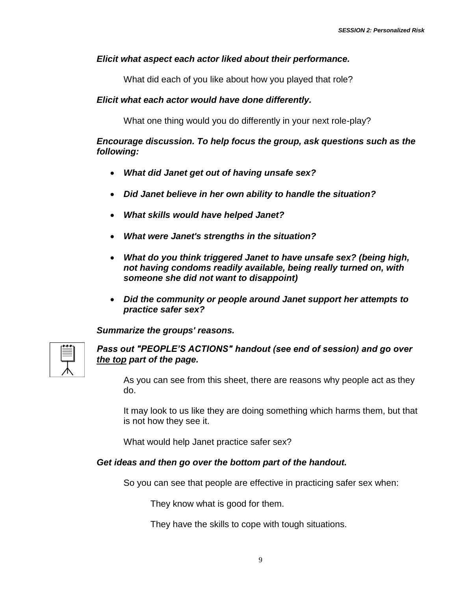#### *Elicit what aspect each actor liked about their performance.*

What did each of you like about how you played that role?

#### *Elicit what each actor would have done differently.*

What one thing would you do differently in your next role-play?

#### *Encourage discussion. To help focus the group, ask questions such as the following:*

- *What did Janet get out of having unsafe sex?*
- *Did Janet believe in her own ability to handle the situation?*
- *What skills would have helped Janet?*
- *What were Janet's strengths in the situation?*
- *What do you think triggered Janet to have unsafe sex? (being high, not having condoms readily available, being really turned on, with someone she did not want to disappoint)*
- *Did the community or people around Janet support her attempts to practice safer sex?*

*Summarize the groups' reasons.*



#### *Pass out "PEOPLE'S ACTIONS" handout (see end of session) and go over the top part of the page.*

As you can see from this sheet, there are reasons why people act as they do.

It may look to us like they are doing something which harms them, but that is not how they see it.

What would help Janet practice safer sex?

#### *Get ideas and then go over the bottom part of the handout.*

So you can see that people are effective in practicing safer sex when:

They know what is good for them.

They have the skills to cope with tough situations.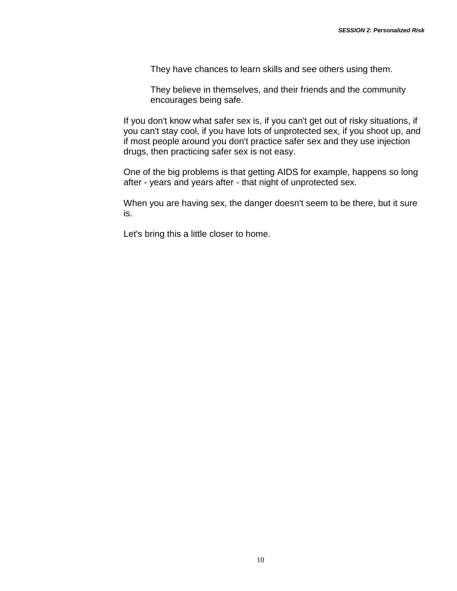They have chances to learn skills and see others using them.

They believe in themselves, and their friends and the community encourages being safe.

If you don't know what safer sex is, if you can't get out of risky situations, if you can't stay cool, if you have lots of unprotected sex, if you shoot up, and if most people around you don't practice safer sex and they use injection drugs, then practicing safer sex is not easy.

One of the big problems is that getting AIDS for example, happens so long after - years and years after - that night of unprotected sex.

When you are having sex, the danger doesn't seem to be there, but it sure is.

Let's bring this a little closer to home.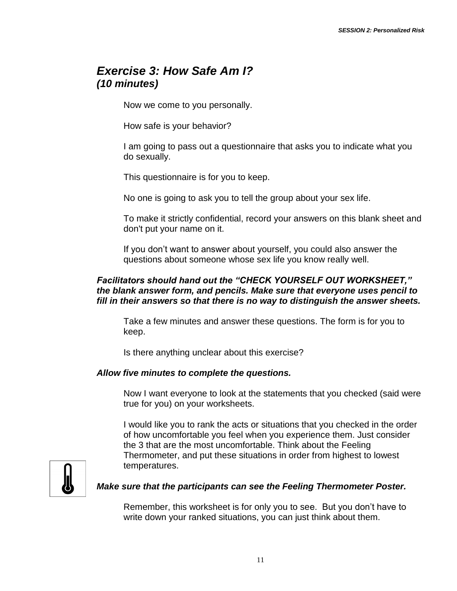## *Exercise 3: How Safe Am I? (10 minutes)*

Now we come to you personally.

How safe is your behavior?

I am going to pass out a questionnaire that asks you to indicate what you do sexually.

This questionnaire is for you to keep.

No one is going to ask you to tell the group about your sex life.

To make it strictly confidential, record your answers on this blank sheet and don't put your name on it.

If you don't want to answer about yourself, you could also answer the questions about someone whose sex life you know really well.

#### *Facilitators should hand out the "CHECK YOURSELF OUT WORKSHEET," the blank answer form, and pencils. Make sure that everyone uses pencil to fill in their answers so that there is no way to distinguish the answer sheets.*

Take a few minutes and answer these questions. The form is for you to keep.

Is there anything unclear about this exercise?

#### *Allow five minutes to complete the questions.*

Now I want everyone to look at the statements that you checked (said were true for you) on your worksheets.

I would like you to rank the acts or situations that you checked in the order of how uncomfortable you feel when you experience them. Just consider the 3 that are the most uncomfortable. Think about the Feeling Thermometer, and put these situations in order from highest to lowest temperatures.



#### *Make sure that the participants can see the Feeling Thermometer Poster.*

Remember, this worksheet is for only you to see. But you don't have to write down your ranked situations, you can just think about them.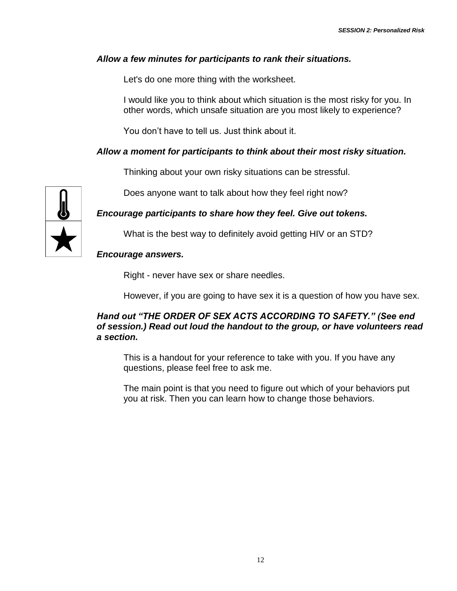#### *Allow a few minutes for participants to rank their situations.*

Let's do one more thing with the worksheet.

I would like you to think about which situation is the most risky for you. In other words, which unsafe situation are you most likely to experience?

You don't have to tell us. Just think about it.

#### *Allow a moment for participants to think about their most risky situation.*

Thinking about your own risky situations can be stressful.

Does anyone want to talk about how they feel right now?

*Encourage participants to share how they feel. Give out tokens.*

What is the best way to definitely avoid getting HIV or an STD?

#### *Encourage answers.*

Right - never have sex or share needles.

However, if you are going to have sex it is a question of how you have sex.

#### *Hand out "THE ORDER OF SEX ACTS ACCORDING TO SAFETY." (See end of session.) Read out loud the handout to the group, or have volunteers read a section.*

This is a handout for your reference to take with you. If you have any questions, please feel free to ask me.

The main point is that you need to figure out which of your behaviors put you at risk. Then you can learn how to change those behaviors.

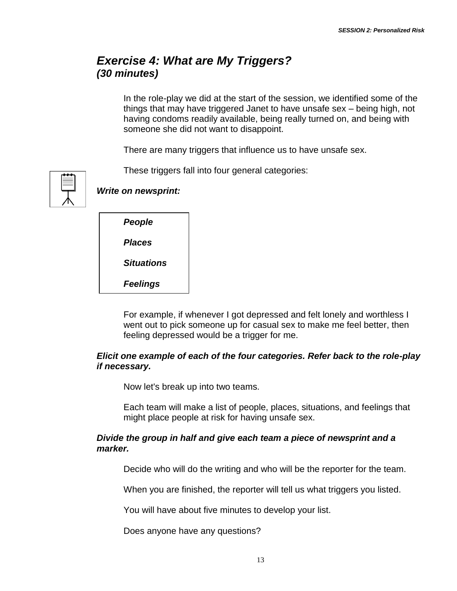## *Exercise 4: What are My Triggers? (30 minutes)*

In the role-play we did at the start of the session, we identified some of the things that may have triggered Janet to have unsafe sex – being high, not having condoms readily available, being really turned on, and being with someone she did not want to disappoint.

There are many triggers that influence us to have unsafe sex.

These triggers fall into four general categories:



*Write on newsprint:* 

| People     |
|------------|
| Places     |
| Situations |

*Feelings*

For example, if whenever I got depressed and felt lonely and worthless I went out to pick someone up for casual sex to make me feel better, then feeling depressed would be a trigger for me.

#### *Elicit one example of each of the four categories. Refer back to the role-play if necessary.*

Now let's break up into two teams.

Each team will make a list of people, places, situations, and feelings that might place people at risk for having unsafe sex.

#### *Divide the group in half and give each team a piece of newsprint and a marker.*

Decide who will do the writing and who will be the reporter for the team.

When you are finished, the reporter will tell us what triggers you listed.

You will have about five minutes to develop your list.

Does anyone have any questions?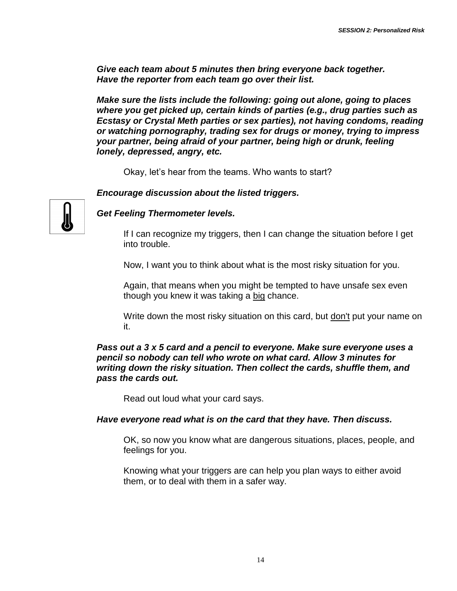*Give each team about 5 minutes then bring everyone back together. Have the reporter from each team go over their list.*

*Make sure the lists include the following: going out alone, going to places where you get picked up, certain kinds of parties (e.g., drug parties such as Ecstasy or Crystal Meth parties or sex parties), not having condoms, reading or watching pornography, trading sex for drugs or money, trying to impress your partner, being afraid of your partner, being high or drunk, feeling lonely, depressed, angry, etc.*

Okay, let's hear from the teams. Who wants to start?

*Encourage discussion about the listed triggers.* 



*Get Feeling Thermometer levels.*

If I can recognize my triggers, then I can change the situation before I get into trouble.

Now, I want you to think about what is the most risky situation for you.

Again, that means when you might be tempted to have unsafe sex even though you knew it was taking a big chance.

Write down the most risky situation on this card, but don't put your name on it.

#### *Pass out a 3 x 5 card and a pencil to everyone. Make sure everyone uses a pencil so nobody can tell who wrote on what card. Allow 3 minutes for writing down the risky situation. Then collect the cards, shuffle them, and pass the cards out.*

Read out loud what your card says.

#### *Have everyone read what is on the card that they have. Then discuss.*

OK, so now you know what are dangerous situations, places, people, and feelings for you.

Knowing what your triggers are can help you plan ways to either avoid them, or to deal with them in a safer way.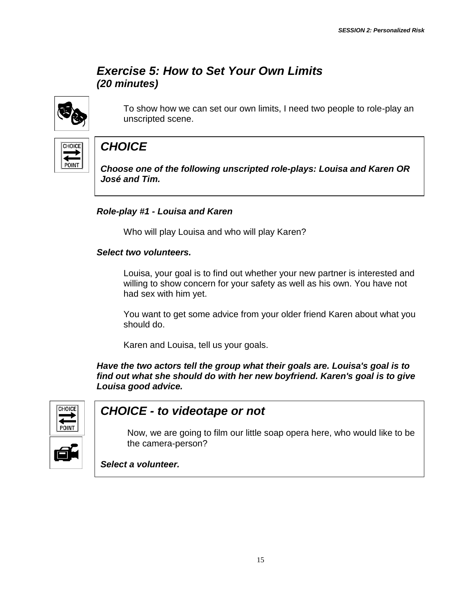## *Exercise 5: How to Set Your Own Limits (20 minutes)*



To show how we can set our own limits, I need two people to role-play an unscripted scene.



# *CHOICE*

*Choose one of the following unscripted role-plays: Louisa and Karen OR José and Tim.*

#### *Role-play #1 - Louisa and Karen*

Who will play Louisa and who will play Karen?

#### *Select two volunteers.*

Louisa, your goal is to find out whether your new partner is interested and willing to show concern for your safety as well as his own. You have not had sex with him yet.

You want to get some advice from your older friend Karen about what you should do.

Karen and Louisa, tell us your goals.

*Have the two actors tell the group what their goals are. Louisa's goal is to find out what she should do with her new boyfriend. Karen's goal is to give Louisa good advice.* 



## *CHOICE - to videotape or not*

Now, we are going to film our little soap opera here, who would like to be the camera-person?

*Select a volunteer.*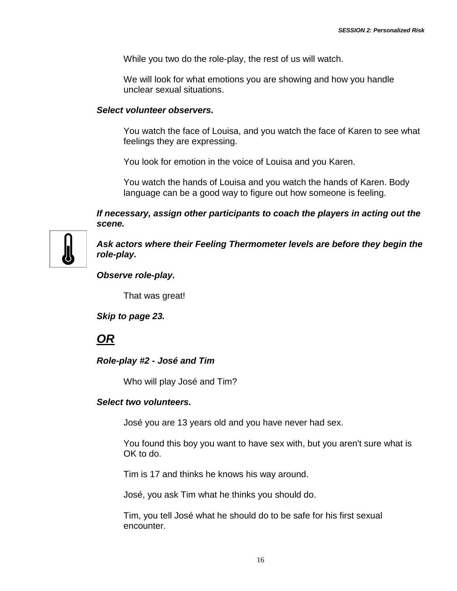While you two do the role-play, the rest of us will watch.

We will look for what emotions you are showing and how you handle unclear sexual situations.

#### *Select volunteer observers.*

You watch the face of Louisa, and you watch the face of Karen to see what feelings they are expressing.

You look for emotion in the voice of Louisa and you Karen.

You watch the hands of Louisa and you watch the hands of Karen. Body language can be a good way to figure out how someone is feeling.

*If necessary, assign other participants to coach the players in acting out the scene.*



*Ask actors where their Feeling Thermometer levels are before they begin the role-play.*

*Observe role-play.*

That was great!

*Skip to page 23.*

*OR*

#### *Role-play #2 - José and Tim*

Who will play José and Tim?

#### *Select two volunteers.*

José you are 13 years old and you have never had sex.

You found this boy you want to have sex with, but you aren't sure what is OK to do.

Tim is 17 and thinks he knows his way around.

José, you ask Tim what he thinks you should do.

Tim, you tell José what he should do to be safe for his first sexual encounter.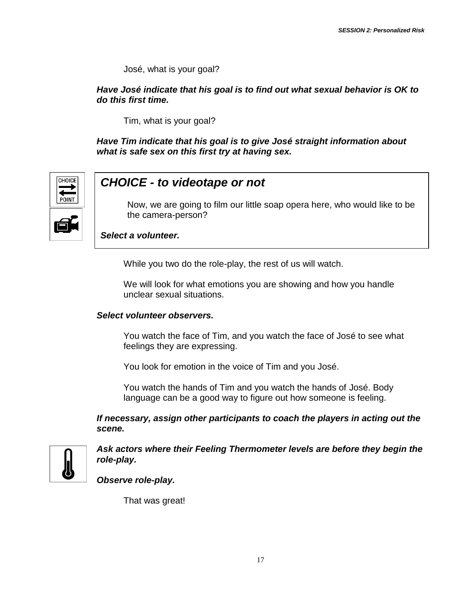José, what is your goal?

*Have José indicate that his goal is to find out what sexual behavior is OK to do this first time.*

Tim, what is your goal?

*Have Tim indicate that his goal is to give José straight information about what is safe sex on this first try at having sex.*



## *CHOICE - to videotape or not*

Now, we are going to film our little soap opera here, who would like to be the camera-person?

*Select a volunteer.*

While you two do the role-play, the rest of us will watch.

We will look for what emotions you are showing and how you handle unclear sexual situations.

#### *Select volunteer observers.*

You watch the face of Tim, and you watch the face of José to see what feelings they are expressing.

You look for emotion in the voice of Tim and you José.

You watch the hands of Tim and you watch the hands of José. Body language can be a good way to figure out how someone is feeling.

*If necessary, assign other participants to coach the players in acting out the scene.*



*Ask actors where their Feeling Thermometer levels are before they begin the role-play.*

*Observe role-play.*

That was great!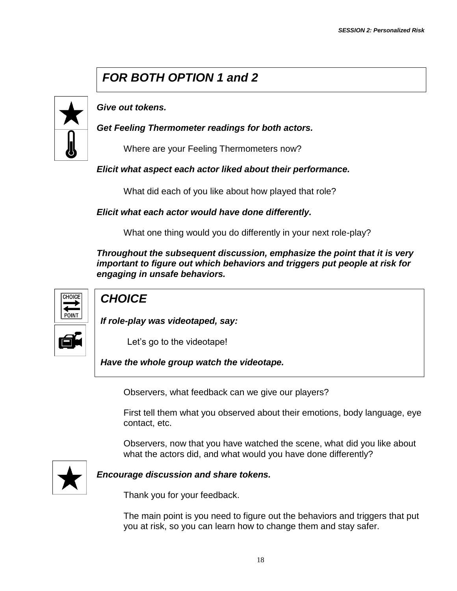# *FOR BOTH OPTION 1 and 2*



*Give out tokens.*

*Get Feeling Thermometer readings for both actors.*

Where are your Feeling Thermometers now?

#### *Elicit what aspect each actor liked about their performance.*

What did each of you like about how played that role?

#### *Elicit what each actor would have done differently.*

What one thing would you do differently in your next role-play?

*Throughout the subsequent discussion, emphasize the point that it is very important to figure out which behaviors and triggers put people at risk for engaging in unsafe behaviors.*



## *CHOICE*

*If role-play was videotaped, say:*

Let's go to the videotape!

*Have the whole group watch the videotape.* 

Observers, what feedback can we give our players?

First tell them what you observed about their emotions, body language, eye contact, etc.

Observers, now that you have watched the scene, what did you like about what the actors did, and what would you have done differently?



#### *Encourage discussion and share tokens.*

Thank you for your feedback.

The main point is you need to figure out the behaviors and triggers that put you at risk, so you can learn how to change them and stay safer.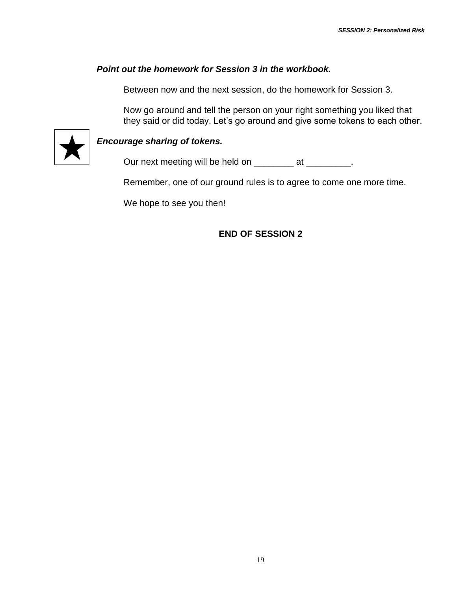#### *Point out the homework for Session 3 in the workbook.*

Between now and the next session, do the homework for Session 3.

Now go around and tell the person on your right something you liked that they said or did today. Let's go around and give some tokens to each other.



#### *Encourage sharing of tokens.*

Our next meeting will be held on \_\_\_\_\_\_\_\_\_ at \_\_\_\_\_\_\_\_\_.

Remember, one of our ground rules is to agree to come one more time.

We hope to see you then!

**END OF SESSION 2**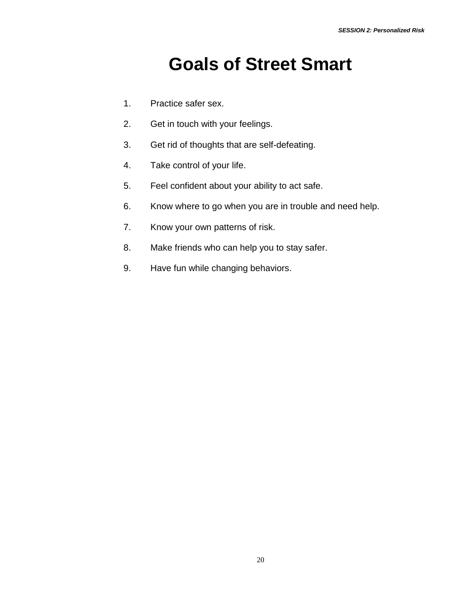# **Goals of Street Smart**

- 1. Practice safer sex.
- 2. Get in touch with your feelings.
- 3. Get rid of thoughts that are self-defeating.
- 4. Take control of your life.
- 5. Feel confident about your ability to act safe.
- 6. Know where to go when you are in trouble and need help.
- 7. Know your own patterns of risk.
- 8. Make friends who can help you to stay safer.
- 9. Have fun while changing behaviors.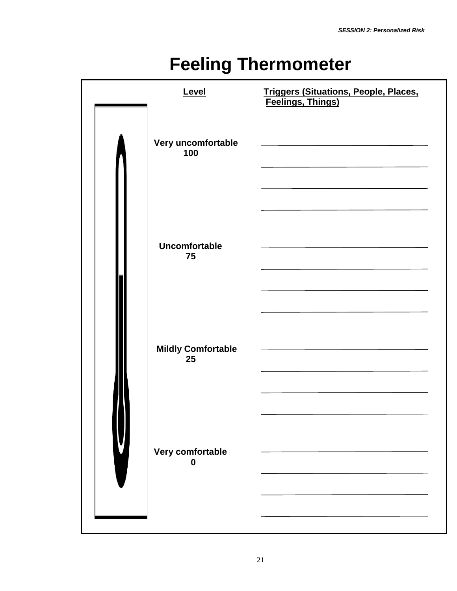# **Feeling Thermometer**

| Level                           | Triggers (Situations, People, Places,<br>Feelings, Things) |
|---------------------------------|------------------------------------------------------------|
| Very uncomfortable<br>100       |                                                            |
| <b>Uncomfortable</b><br>75      |                                                            |
| <b>Mildly Comfortable</b><br>25 |                                                            |
| Very comfortable<br>0           |                                                            |
|                                 |                                                            |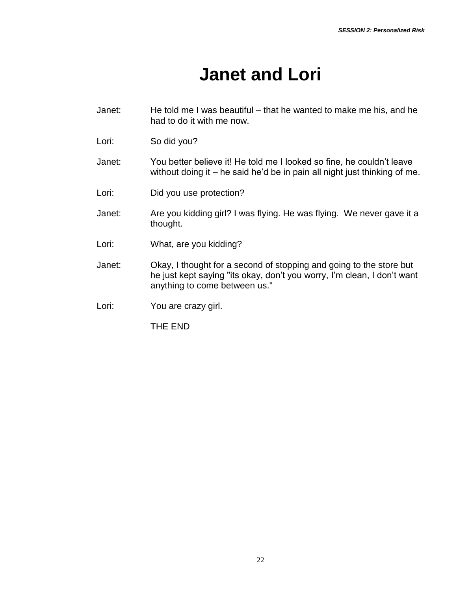# **Janet and Lori**

- Janet: He told me I was beautiful that he wanted to make me his, and he had to do it with me now.
- Lori: So did you?
- Janet: You better believe it! He told me I looked so fine, he couldn't leave without doing it – he said he'd be in pain all night just thinking of me.
- Lori: Did you use protection?
- Janet: Are you kidding girl? I was flying. He was flying. We never gave it a thought.
- Lori: What, are you kidding?
- Janet: Okay, I thought for a second of stopping and going to the store but he just kept saying "its okay, don't you worry, I'm clean, I don't want anything to come between us."

Lori: You are crazy girl.

THE END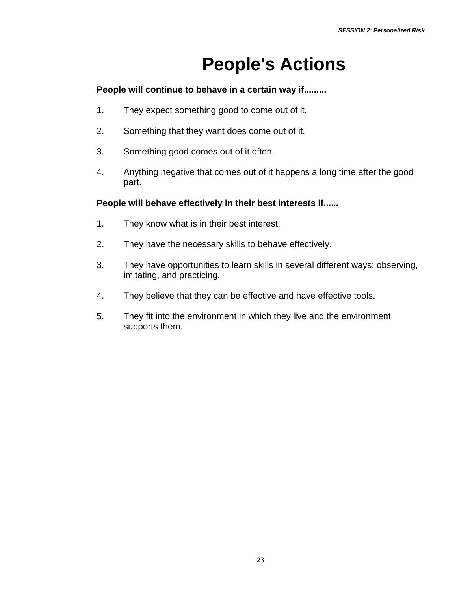# **People's Actions**

#### **People will continue to behave in a certain way if.........**

- 1. They expect something good to come out of it.
- 2. Something that they want does come out of it.
- 3. Something good comes out of it often.
- 4. Anything negative that comes out of it happens a long time after the good part.

#### **People will behave effectively in their best interests if....***..*

- 1. They know what is in their best interest.
- 2. They have the necessary skills to behave effectively.
- 3. They have opportunities to learn skills in several different ways: observing, imitating, and practicing.
- 4. They believe that they can be effective and have effective tools.
- 5. They fit into the environment in which they live and the environment supports them.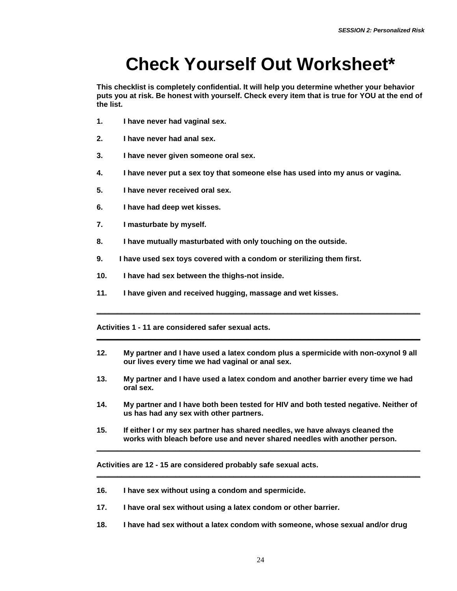# **Check Yourself Out Worksheet\***

**This checklist is completely confidential. It will help you determine whether your behavior puts you at risk. Be honest with yourself. Check every item that is true for YOU at the end of the list.**

- **1. I have never had vaginal sex.**
- **2. I have never had anal sex.**
- **3. I have never given someone oral sex.**
- **4. I have never put a sex toy that someone else has used into my anus or vagina.**
- **5. I have never received oral sex.**
- **6. I have had deep wet kisses.**
- **7. I masturbate by myself.**
- **8. I have mutually masturbated with only touching on the outside.**
- **9. I have used sex toys covered with a condom or sterilizing them first.**
- **10. I have had sex between the thighs-not inside.**
- **11. I have given and received hugging, massage and wet kisses.**

**Activities 1 - 11 are considered safer sexual acts.**

**12. My partner and I have used a latex condom plus a spermicide with non-oxynol 9 all our lives every time we had vaginal or anal sex.**

**\_\_\_\_\_\_\_\_\_\_\_\_\_\_\_\_\_\_\_\_\_\_\_\_\_\_\_\_\_\_\_\_\_\_\_\_\_\_\_\_\_\_\_\_\_\_\_\_\_\_\_\_\_\_\_\_\_\_\_\_\_\_\_\_\_\_\_\_\_\_\_\_\_\_\_\_\_\_**

**\_\_\_\_\_\_\_\_\_\_\_\_\_\_\_\_\_\_\_\_\_\_\_\_\_\_\_\_\_\_\_\_\_\_\_\_\_\_\_\_\_\_\_\_\_\_\_\_\_\_\_\_\_\_\_\_\_\_\_\_\_\_\_\_\_\_\_\_\_\_\_\_\_\_\_\_\_\_**

- **13. My partner and I have used a latex condom and another barrier every time we had oral sex.**
- **14. My partner and I have both been tested for HIV and both tested negative. Neither of us has had any sex with other partners.**

**\_\_\_\_\_\_\_\_\_\_\_\_\_\_\_\_\_\_\_\_\_\_\_\_\_\_\_\_\_\_\_\_\_\_\_\_\_\_\_\_\_\_\_\_\_\_\_\_\_\_\_\_\_\_\_\_\_\_\_\_\_\_\_\_\_\_\_\_\_\_\_\_\_\_\_\_\_\_**

**\_\_\_\_\_\_\_\_\_\_\_\_\_\_\_\_\_\_\_\_\_\_\_\_\_\_\_\_\_\_\_\_\_\_\_\_\_\_\_\_\_\_\_\_\_\_\_\_\_\_\_\_\_\_\_\_\_\_\_\_\_\_\_\_\_\_\_\_\_\_\_\_\_\_\_\_\_\_**

**15. If either I or my sex partner has shared needles, we have always cleaned the works with bleach before use and never shared needles with another person.**

**Activities are 12 - 15 are considered probably safe sexual acts.**

- **16. I have sex without using a condom and spermicide.**
- **17. I have oral sex without using a latex condom or other barrier.**
- **18. I have had sex without a latex condom with someone, whose sexual and/or drug**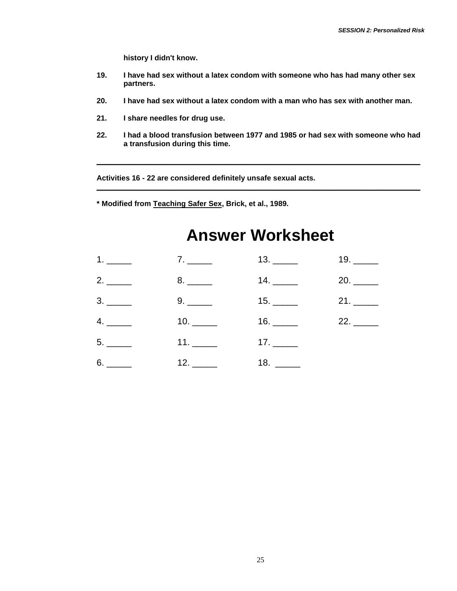**history I didn't know.**

- **19. I have had sex without a latex condom with someone who has had many other sex partners.**
- **20. I have had sex without a latex condom with a man who has sex with another man.**
- **21. I share needles for drug use.**
- **22. I had a blood transfusion between 1977 and 1985 or had sex with someone who had a transfusion during this time.**

**\_\_\_\_\_\_\_\_\_\_\_\_\_\_\_\_\_\_\_\_\_\_\_\_\_\_\_\_\_\_\_\_\_\_\_\_\_\_\_\_\_\_\_\_\_\_\_\_\_\_\_\_\_\_\_\_\_\_\_\_\_\_\_\_\_\_\_\_\_\_\_\_\_\_\_\_\_\_**

**\_\_\_\_\_\_\_\_\_\_\_\_\_\_\_\_\_\_\_\_\_\_\_\_\_\_\_\_\_\_\_\_\_\_\_\_\_\_\_\_\_\_\_\_\_\_\_\_\_\_\_\_\_\_\_\_\_\_\_\_\_\_\_\_\_\_\_\_\_\_\_\_\_\_\_\_\_\_**

**Activities 16 - 22 are considered definitely unsafe sexual acts.** 

**\* Modified from Teaching Safer Sex, Brick, et al., 1989.**

# **Answer Worksheet**

| $1.$ 2. $2.$ $2.$ |                                                                                                                                                                                                                                                                                                                                                                                                                             | 19. ______ |
|-------------------|-----------------------------------------------------------------------------------------------------------------------------------------------------------------------------------------------------------------------------------------------------------------------------------------------------------------------------------------------------------------------------------------------------------------------------|------------|
|                   |                                                                                                                                                                                                                                                                                                                                                                                                                             |            |
|                   |                                                                                                                                                                                                                                                                                                                                                                                                                             |            |
|                   | $16.$ 22. 22.                                                                                                                                                                                                                                                                                                                                                                                                               |            |
| $11.$ 17. 17.     |                                                                                                                                                                                                                                                                                                                                                                                                                             |            |
|                   | 18. $\frac{1}{\sqrt{1-\frac{1}{2}}}\frac{1}{\sqrt{1-\frac{1}{2}}}\frac{1}{\sqrt{1-\frac{1}{2}}}\frac{1}{\sqrt{1-\frac{1}{2}}}\frac{1}{\sqrt{1-\frac{1}{2}}}\frac{1}{\sqrt{1-\frac{1}{2}}}\frac{1}{\sqrt{1-\frac{1}{2}}}\frac{1}{\sqrt{1-\frac{1}{2}}}\frac{1}{\sqrt{1-\frac{1}{2}}}\frac{1}{\sqrt{1-\frac{1}{2}}}\frac{1}{\sqrt{1-\frac{1}{2}}}\frac{1}{\sqrt{1-\frac{1}{2}}}\frac{1}{\sqrt{1-\frac{1}{2}}}\frac{1}{\sqrt{$ |            |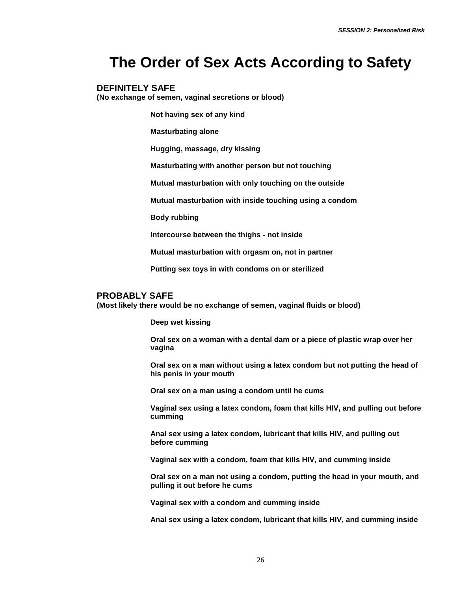# **The Order of Sex Acts According to Safety**

#### **DEFINITELY SAFE**

**(No exchange of semen, vaginal secretions or blood)**

**Not having sex of any kind**

**Masturbating alone**

**Hugging, massage, dry kissing**

**Masturbating with another person but not touching**

**Mutual masturbation with only touching on the outside**

**Mutual masturbation with inside touching using a condom**

**Body rubbing**

**Intercourse between the thighs - not inside**

**Mutual masturbation with orgasm on, not in partner**

**Putting sex toys in with condoms on or sterilized**

#### **PROBABLY SAFE**

**(Most likely there would be no exchange of semen, vaginal fluids or blood)**

**Deep wet kissing**

**Oral sex on a woman with a dental dam or a piece of plastic wrap over her vagina** 

**Oral sex on a man without using a latex condom but not putting the head of his penis in your mouth**

**Oral sex on a man using a condom until he cums**

**Vaginal sex using a latex condom, foam that kills HIV, and pulling out before cumming**

**Anal sex using a latex condom, lubricant that kills HIV, and pulling out before cumming**

**Vaginal sex with a condom, foam that kills HIV, and cumming inside**

**Oral sex on a man not using a condom, putting the head in your mouth, and pulling it out before he cums**

**Vaginal sex with a condom and cumming inside**

**Anal sex using a latex condom, lubricant that kills HIV, and cumming inside**